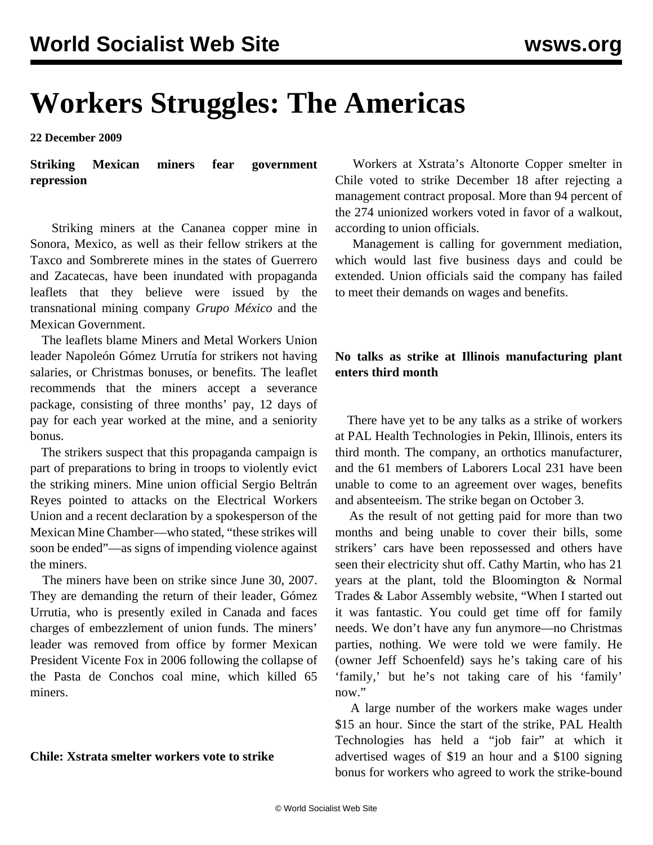# **Workers Struggles: The Americas**

**22 December 2009**

**Striking Mexican miners fear government repression**

 Striking miners at the Cananea copper mine in Sonora, Mexico, as well as their fellow strikers at the Taxco and Sombrerete mines in the states of Guerrero and Zacatecas, have been inundated with propaganda leaflets that they believe were issued by the transnational mining company *Grupo México* and the Mexican Government.

 The leaflets blame Miners and Metal Workers Union leader Napoleón Gómez Urrutía for strikers not having salaries, or Christmas bonuses, or benefits. The leaflet recommends that the miners accept a severance package, consisting of three months' pay, 12 days of pay for each year worked at the mine, and a seniority bonus.

 The strikers suspect that this propaganda campaign is part of preparations to bring in troops to violently evict the striking miners. Mine union official Sergio Beltrán Reyes pointed to attacks on the Electrical Workers Union and a recent declaration by a spokesperson of the Mexican Mine Chamber—who stated, "these strikes will soon be ended"—as signs of impending violence against the miners.

 The miners have been on strike since June 30, 2007. They are demanding the return of their leader, Gómez Urrutia, who is presently exiled in Canada and faces charges of embezzlement of union funds. The miners' leader was removed from office by former Mexican President Vicente Fox in 2006 following the collapse of the Pasta de Conchos coal mine, which killed 65 miners.

## **Chile: Xstrata smelter workers vote to strike**

 Workers at Xstrata's Altonorte Copper smelter in Chile voted to strike December 18 after rejecting a management contract proposal. More than 94 percent of the 274 unionized workers voted in favor of a walkout, according to union officials.

 Management is calling for government mediation, which would last five business days and could be extended. Union officials said the company has failed to meet their demands on wages and benefits.

# **No talks as strike at Illinois manufacturing plant enters third month**

 There have yet to be any talks as a strike of workers at PAL Health Technologies in Pekin, Illinois, enters its third month. The company, an orthotics manufacturer, and the 61 members of Laborers Local 231 have been unable to come to an agreement over wages, benefits and absenteeism. The strike began on October 3.

 As the result of not getting paid for more than two months and being unable to cover their bills, some strikers' cars have been repossessed and others have seen their electricity shut off. Cathy Martin, who has 21 years at the plant, told the Bloomington & Normal Trades & Labor Assembly website, "When I started out it was fantastic. You could get time off for family needs. We don't have any fun anymore—no Christmas parties, nothing. We were told we were family. He (owner Jeff Schoenfeld) says he's taking care of his 'family,' but he's not taking care of his 'family' now."

 A large number of the workers make wages under \$15 an hour. Since the start of the strike, PAL Health Technologies has held a "job fair" at which it advertised wages of \$19 an hour and a \$100 signing bonus for workers who agreed to work the strike-bound